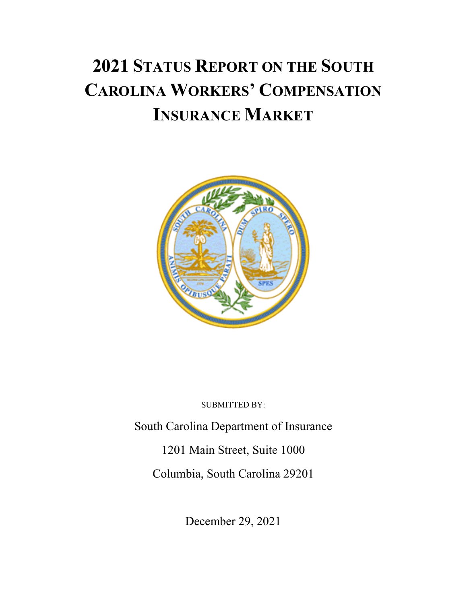# **2021 STATUS REPORT ON THE SOUTH CAROLINA WORKERS' COMPENSATION INSURANCE MARKET**



SUBMITTED BY:

South Carolina Department of Insurance 1201 Main Street, Suite 1000

Columbia, South Carolina 29201

December 29, 2021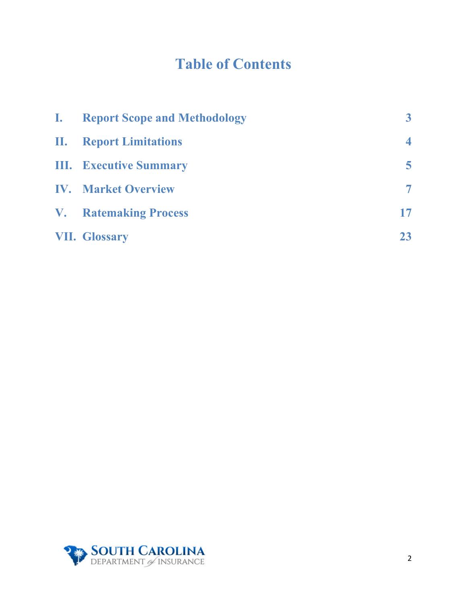## **Table of Contents**

| <b>I.</b> | <b>Report Scope and Methodology</b> | 3                       |
|-----------|-------------------------------------|-------------------------|
|           | <b>II.</b> Report Limitations       | $\overline{\mathbf{4}}$ |
|           | <b>III.</b> Executive Summary       | 5                       |
|           | <b>IV.</b> Market Overview          | $\overline{\tau}$       |
|           | <b>V.</b> Ratemaking Process        | 17                      |
|           | <b>VII. Glossary</b>                | 23                      |

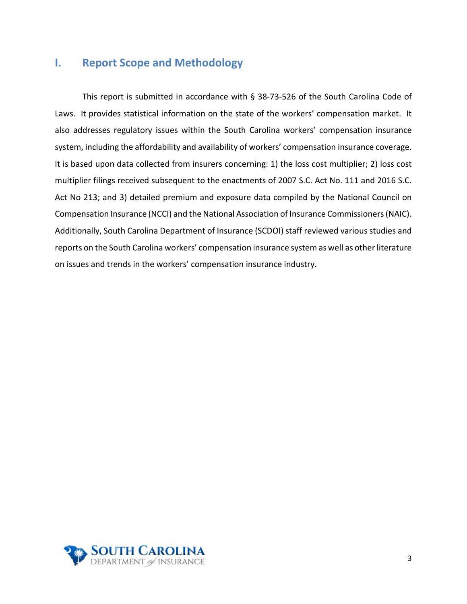## <span id="page-2-0"></span>**I. Report Scope and Methodology**

This report is submitted in accordance with § 38-73-526 of the South Carolina Code of Laws. It provides statistical information on the state of the workers' compensation market. It also addresses regulatory issues within the South Carolina workers' compensation insurance system, including the affordability and availability of workers' compensation insurance coverage. It is based upon data collected from insurers concerning: 1) the loss cost multiplier; 2) loss cost multiplier filings received subsequent to the enactments of 2007 S.C. Act No. 111 and 2016 S.C. Act No 213; and 3) detailed premium and exposure data compiled by the National Council on Compensation Insurance (NCCI) and the National Association of Insurance Commissioners (NAIC). Additionally, South Carolina Department of Insurance (SCDOI) staff reviewed various studies and reports on the South Carolina workers' compensation insurance system as well as other literature on issues and trends in the workers' compensation insurance industry.

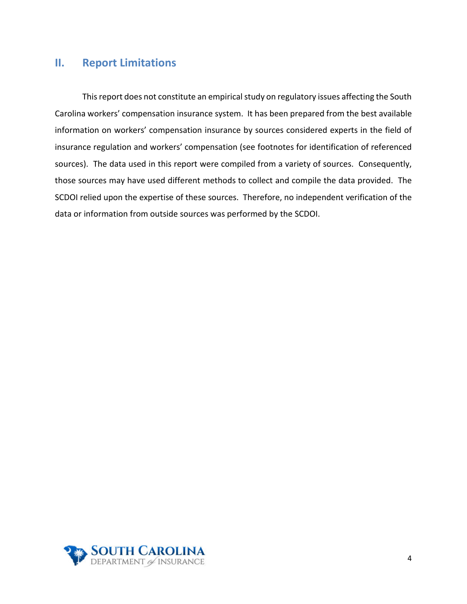## <span id="page-3-0"></span>**II. Report Limitations**

This report does not constitute an empirical study on regulatory issues affecting the South Carolina workers' compensation insurance system. It has been prepared from the best available information on workers' compensation insurance by sources considered experts in the field of insurance regulation and workers' compensation (see footnotes for identification of referenced sources). The data used in this report were compiled from a variety of sources. Consequently, those sources may have used different methods to collect and compile the data provided. The SCDOI relied upon the expertise of these sources. Therefore, no independent verification of the data or information from outside sources was performed by the SCDOI.

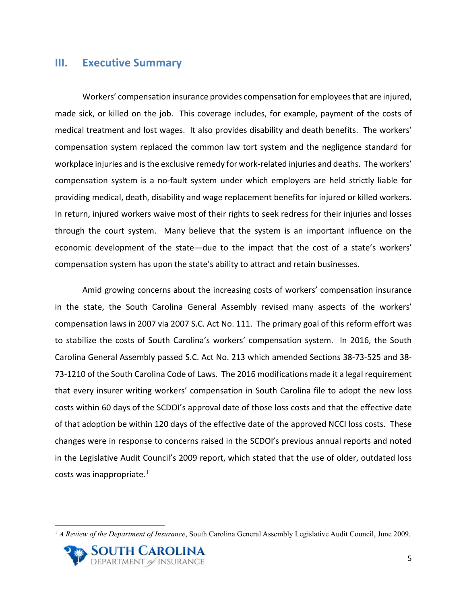## <span id="page-4-0"></span>**III. Executive Summary**

Workers' compensation insurance provides compensation for employeesthat are injured, made sick, or killed on the job. This coverage includes, for example, payment of the costs of medical treatment and lost wages. It also provides disability and death benefits. The workers' compensation system replaced the common law tort system and the negligence standard for workplace injuries and is the exclusive remedy for work-related injuries and deaths. The workers' compensation system is a no-fault system under which employers are held strictly liable for providing medical, death, disability and wage replacement benefits for injured or killed workers. In return, injured workers waive most of their rights to seek redress for their injuries and losses through the court system. Many believe that the system is an important influence on the economic development of the state—due to the impact that the cost of a state's workers' compensation system has upon the state's ability to attract and retain businesses.

Amid growing concerns about the increasing costs of workers' compensation insurance in the state, the South Carolina General Assembly revised many aspects of the workers' compensation laws in 2007 via 2007 S.C. Act No. 111. The primary goal of this reform effort was to stabilize the costs of South Carolina's workers' compensation system. In 2016, the South Carolina General Assembly passed S.C. Act No. 213 which amended Sections 38-73-525 and 38- 73-1210 of the South Carolina Code of Laws. The 2016 modifications made it a legal requirement that every insurer writing workers' compensation in South Carolina file to adopt the new loss costs within 60 days of the SCDOI's approval date of those loss costs and that the effective date of that adoption be within 120 days of the effective date of the approved NCCI loss costs. These changes were in response to concerns raised in the SCDOI's previous annual reports and noted in the Legislative Audit Council's 2009 report, which stated that the use of older, outdated loss costs was inappropriate.<sup>[1](#page-4-1)</sup>

<span id="page-4-1"></span><sup>1</sup> *A Review of the Department of Insurance*, South Carolina General Assembly Legislative Audit Council, June 2009.

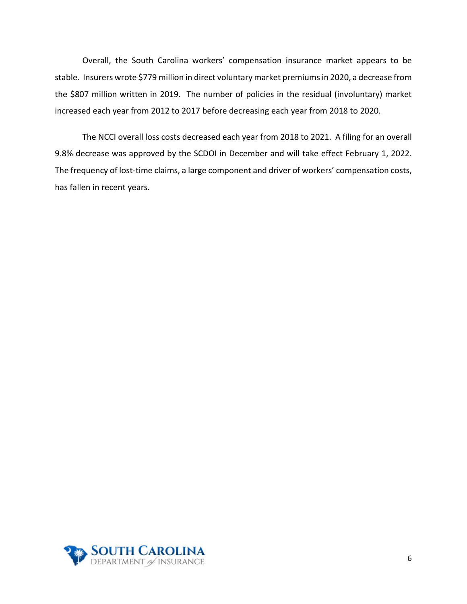Overall, the South Carolina workers' compensation insurance market appears to be stable. Insurers wrote \$779 million in direct voluntary market premiums in 2020, a decrease from the \$807 million written in 2019. The number of policies in the residual (involuntary) market increased each year from 2012 to 2017 before decreasing each year from 2018 to 2020.

The NCCI overall loss costs decreased each year from 2018 to 2021. A filing for an overall 9.8% decrease was approved by the SCDOI in December and will take effect February 1, 2022. The frequency of lost-time claims, a large component and driver of workers' compensation costs, has fallen in recent years.

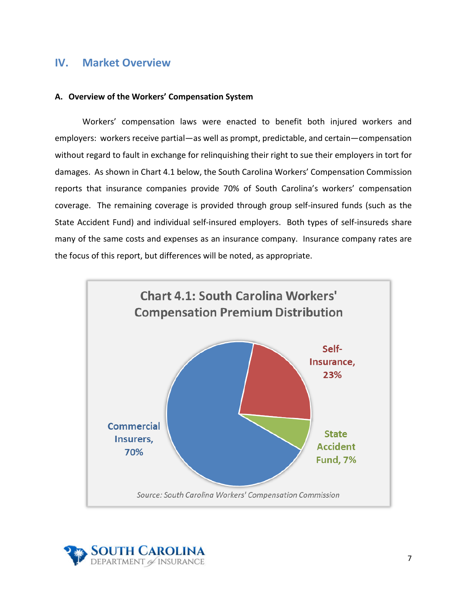## <span id="page-6-0"></span>**IV. Market Overview**

#### **A. Overview of the Workers' Compensation System**

Workers' compensation laws were enacted to benefit both injured workers and employers: workers receive partial—as well as prompt, predictable, and certain—compensation without regard to fault in exchange for relinquishing their right to sue their employers in tort for damages. As shown in Chart 4.1 below, the South Carolina Workers' Compensation Commission reports that insurance companies provide 70% of South Carolina's workers' compensation coverage. The remaining coverage is provided through group self-insured funds (such as the State Accident Fund) and individual self-insured employers. Both types of self-insureds share many of the same costs and expenses as an insurance company. Insurance company rates are the focus of this report, but differences will be noted, as appropriate.



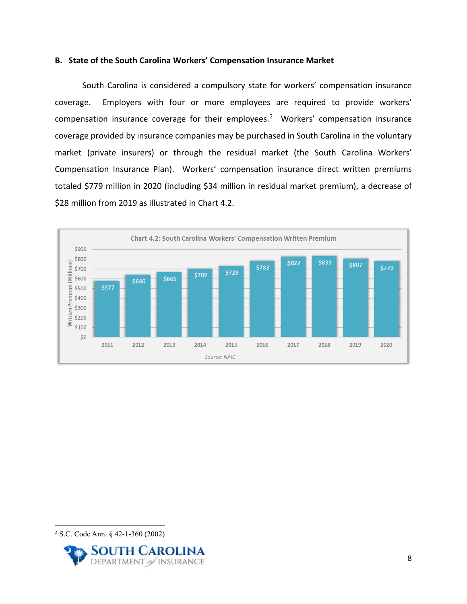#### **B. State of the South Carolina Workers' Compensation Insurance Market**

South Carolina is considered a compulsory state for workers' compensation insurance coverage. Employers with four or more employees are required to provide workers' compensation insurance coverage for their employees.<sup>[2](#page-7-0)</sup> Workers' compensation insurance coverage provided by insurance companies may be purchased in South Carolina in the voluntary market (private insurers) or through the residual market (the South Carolina Workers' Compensation Insurance Plan). Workers' compensation insurance direct written premiums totaled \$779 million in 2020 (including \$34 million in residual market premium), a decrease of \$28 million from 2019 as illustrated in Chart 4.2.



<span id="page-7-0"></span><sup>2</sup> S.C. Code Ann. § 42-1-360 (2002)

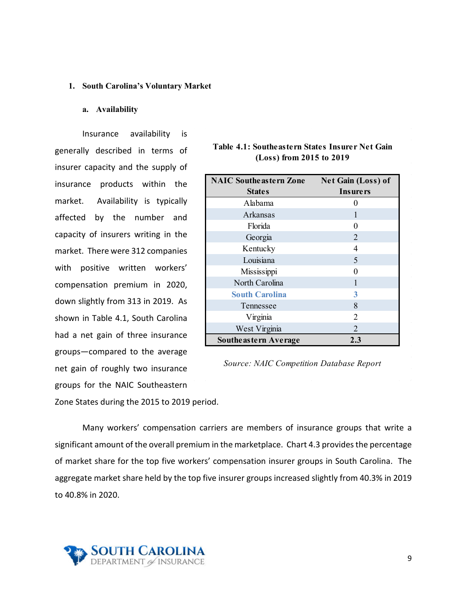#### **1. South Carolina's Voluntary Market**

#### **a. Availability**

Insurance availability is generally described in terms of insurer capacity and the supply of insurance products within the market. Availability is typically affected by the number and capacity of insurers writing in the market. There were 312 companies with positive written workers' compensation premium in 2020, down slightly from 313 in 2019. As shown in Table 4.1, South Carolina had a net gain of three insurance groups—compared to the average net gain of roughly two insurance groups for the NAIC Southeastern

| <b>NAIC Southeastern Zone</b> | Net Gain (Loss) of |  |
|-------------------------------|--------------------|--|
| <b>States</b>                 | <b>Insurers</b>    |  |
| Alabama                       |                    |  |
| Arkansas                      |                    |  |
| Florida                       |                    |  |
| Georgia                       | 2                  |  |
| Kentucky                      | 4                  |  |
| Louisiana                     | 5                  |  |
| Mississippi                   | 0                  |  |
| North Carolina                |                    |  |
| <b>South Carolina</b>         | 3                  |  |
| Tennessee                     | 8                  |  |
| Virginia                      | 2                  |  |
| West Virginia                 | 2                  |  |
| Southe as tern Average        | 2.3                |  |

#### **Table 4.1: Southeastern States Insurer Net Gain (Loss) from 2015 to 2019**

*Source: NAIC Competition Database Report*

Zone States during the 2015 to 2019 period.

Many workers' compensation carriers are members of insurance groups that write a significant amount of the overall premium in the marketplace. Chart 4.3 provides the percentage of market share for the top five workers' compensation insurer groups in South Carolina. The aggregate market share held by the top five insurer groups increased slightly from 40.3% in 2019 to 40.8% in 2020.

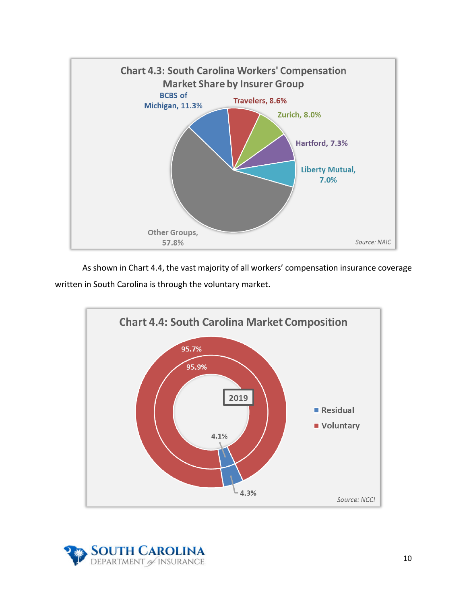

As shown in Chart 4.4, the vast majority of all workers' compensation insurance coverage written in South Carolina is through the voluntary market.



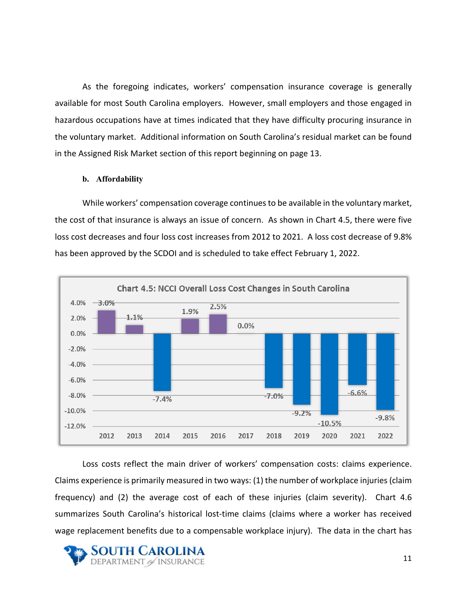As the foregoing indicates, workers' compensation insurance coverage is generally available for most South Carolina employers. However, small employers and those engaged in hazardous occupations have at times indicated that they have difficulty procuring insurance in the voluntary market. Additional information on South Carolina's residual market can be found in the Assigned Risk Market section of this report beginning on page 13.

#### **b. Affordability**

While workers' compensation coverage continues to be available in the voluntary market, the cost of that insurance is always an issue of concern. As shown in Chart 4.5, there were five loss cost decreases and four loss cost increases from 2012 to 2021. A loss cost decrease of 9.8% has been approved by the SCDOI and is scheduled to take effect February 1, 2022.



Loss costs reflect the main driver of workers' compensation costs: claims experience. Claims experience is primarily measured in two ways: (1) the number of workplace injuries (claim frequency) and (2) the average cost of each of these injuries (claim severity). Chart 4.6 summarizes South Carolina's historical lost-time claims (claims where a worker has received wage replacement benefits due to a compensable workplace injury). The data in the chart has

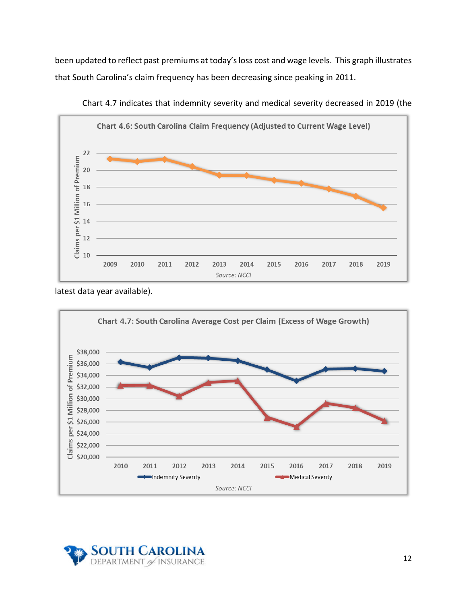been updated to reflect past premiums at today's loss cost and wage levels. This graph illustrates that South Carolina's claim frequency has been decreasing since peaking in 2011.



Chart 4.7 indicates that indemnity severity and medical severity decreased in 2019 (the

latest data year available).



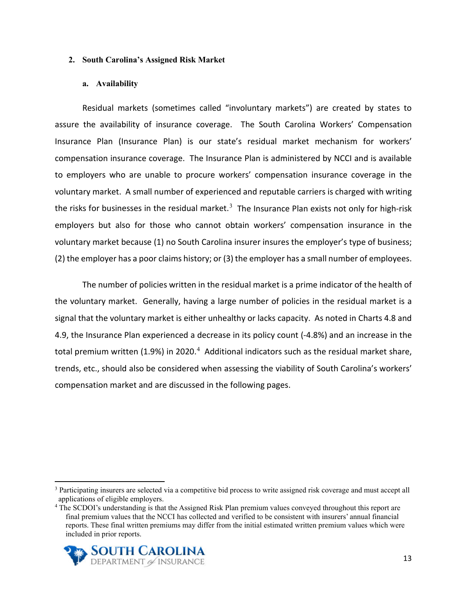#### **2. South Carolina's Assigned Risk Market**

#### **a. Availability**

Residual markets (sometimes called "involuntary markets") are created by states to assure the availability of insurance coverage. The South Carolina Workers' Compensation Insurance Plan (Insurance Plan) is our state's residual market mechanism for workers' compensation insurance coverage. The Insurance Plan is administered by NCCI and is available to employers who are unable to procure workers' compensation insurance coverage in the voluntary market. A small number of experienced and reputable carriers is charged with writing the risks for businesses in the residual market.<sup>[3](#page-12-0)</sup> The Insurance Plan exists not only for high-risk employers but also for those who cannot obtain workers' compensation insurance in the voluntary market because (1) no South Carolina insurer insures the employer's type of business; (2) the employer has a poor claims history; or (3) the employer has a small number of employees.

The number of policies written in the residual market is a prime indicator of the health of the voluntary market. Generally, having a large number of policies in the residual market is a signal that the voluntary market is either unhealthy or lacks capacity. As noted in Charts 4.8 and 4.9, the Insurance Plan experienced a decrease in its policy count (-4.8%) and an increase in the total premium written (1.9%) in 2020.<sup>[4](#page-12-1)</sup> Additional indicators such as the residual market share, trends, etc., should also be considered when assessing the viability of South Carolina's workers' compensation market and are discussed in the following pages.

<span id="page-12-1"></span><sup>&</sup>lt;sup>4</sup> The SCDOI's understanding is that the Assigned Risk Plan premium values conveyed throughout this report are final premium values that the NCCI has collected and verified to be consistent with insurers' annual financial reports. These final written premiums may differ from the initial estimated written premium values which were included in prior reports.



<span id="page-12-0"></span><sup>&</sup>lt;sup>3</sup> Participating insurers are selected via a competitive bid process to write assigned risk coverage and must accept all applications of eligible employers.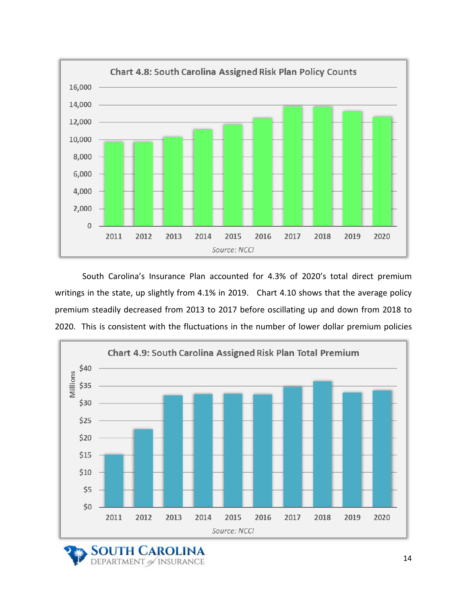

South Carolina's Insurance Plan accounted for 4.3% of 2020's total direct premium writings in the state, up slightly from 4.1% in 2019. Chart 4.10 shows that the average policy premium steadily decreased from 2013 to 2017 before oscillating up and down from 2018 to 2020. This is consistent with the fluctuations in the number of lower dollar premium policies



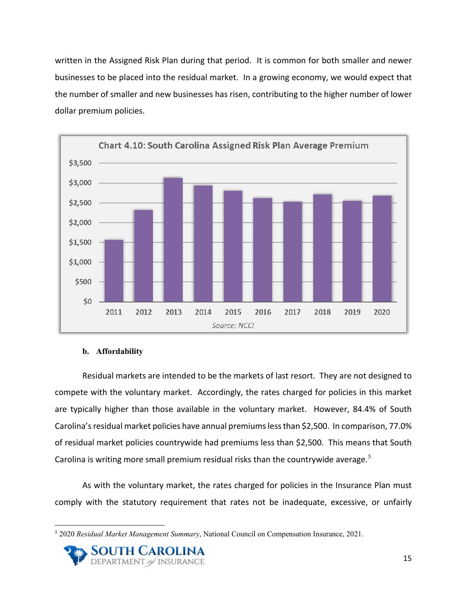written in the Assigned Risk Plan during that period. It is common for both smaller and newer businesses to be placed into the residual market. In a growing economy, we would expect that the number of smaller and new businesses has risen, contributing to the higher number of lower dollar premium policies.



#### **b. Affordability**

Residual markets are intended to be the markets of last resort. They are not designed to compete with the voluntary market. Accordingly, the rates charged for policies in this market are typically higher than those available in the voluntary market. However, 84.4% of South Carolina's residual market policies have annual premiums less than \$2,500. In comparison, 77.0% of residual market policies countrywide had premiums less than \$2,500. This means that South Carolina is writing more small premium residual risks than the countrywide average. $5$ 

As with the voluntary market, the rates charged for policies in the Insurance Plan must comply with the statutory requirement that rates not be inadequate, excessive, or unfairly

<span id="page-14-0"></span><sup>5</sup> 2020 *Residual Market Management Summary*, National Council on Compensation Insurance, 2021.

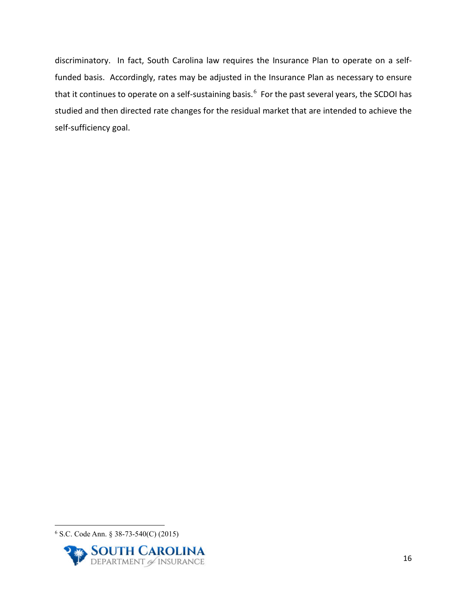discriminatory. In fact, South Carolina law requires the Insurance Plan to operate on a selffunded basis. Accordingly, rates may be adjusted in the Insurance Plan as necessary to ensure that it continues to operate on a self-sustaining basis.<sup>[6](#page-15-0)</sup> For the past several years, the SCDOI has studied and then directed rate changes for the residual market that are intended to achieve the self-sufficiency goal.

<span id="page-15-0"></span><sup>6</sup> S.C. Code Ann. § 38-73-540(C) (2015)

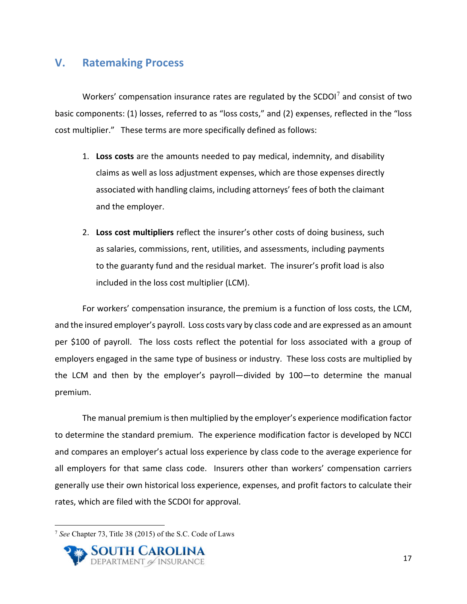## <span id="page-16-0"></span>**V. Ratemaking Process**

Workers' compensation insurance rates are regulated by the SCDOI $<sup>7</sup>$  $<sup>7</sup>$  $<sup>7</sup>$  and consist of two</sup> basic components: (1) losses, referred to as "loss costs," and (2) expenses, reflected in the "loss cost multiplier." These terms are more specifically defined as follows:

- 1. **Loss costs** are the amounts needed to pay medical, indemnity, and disability claims as well as loss adjustment expenses, which are those expenses directly associated with handling claims, including attorneys' fees of both the claimant and the employer.
- 2. **Loss cost multipliers** reflect the insurer's other costs of doing business, such as salaries, commissions, rent, utilities, and assessments, including payments to the guaranty fund and the residual market. The insurer's profit load is also included in the loss cost multiplier (LCM).

For workers' compensation insurance, the premium is a function of loss costs, the LCM, and the insured employer's payroll. Loss costs vary by class code and are expressed as an amount per \$100 of payroll. The loss costs reflect the potential for loss associated with a group of employers engaged in the same type of business or industry. These loss costs are multiplied by the LCM and then by the employer's payroll—divided by 100—to determine the manual premium.

The manual premium is then multiplied by the employer's experience modification factor to determine the standard premium. The experience modification factor is developed by NCCI and compares an employer's actual loss experience by class code to the average experience for all employers for that same class code. Insurers other than workers' compensation carriers generally use their own historical loss experience, expenses, and profit factors to calculate their rates, which are filed with the SCDOI for approval.

<span id="page-16-1"></span><sup>7</sup> *See* Chapter 73, Title 38 (2015) of the S.C. Code of Laws

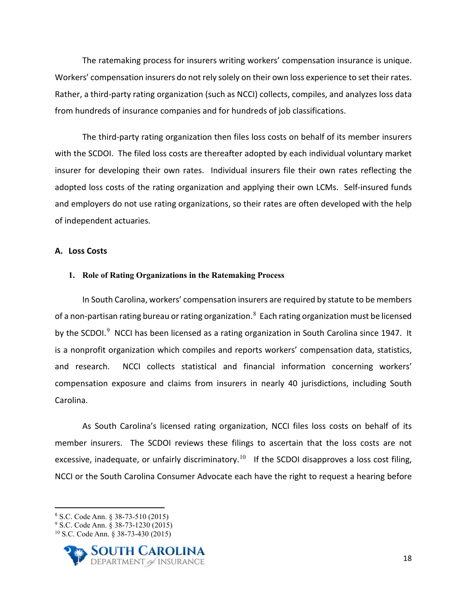The ratemaking process for insurers writing workers' compensation insurance is unique. Workers' compensation insurers do not rely solely on their own loss experience to set their rates. Rather, a third-party rating organization (such as NCCI) collects, compiles, and analyzes loss data from hundreds of insurance companies and for hundreds of job classifications.

The third-party rating organization then files loss costs on behalf of its member insurers with the SCDOI. The filed loss costs are thereafter adopted by each individual voluntary market insurer for developing their own rates. Individual insurers file their own rates reflecting the adopted loss costs of the rating organization and applying their own LCMs. Self-insured funds and employers do not use rating organizations, so their rates are often developed with the help of independent actuaries.

#### **A. Loss Costs**

#### **1. Role of Rating Organizations in the Ratemaking Process**

In South Carolina, workers' compensation insurers are required by statute to be members of a non-partisan rating bureau or rating organization. $^8$  $^8$  Each rating organization must be licensed by the SCDOI. $^9$  $^9$  NCCI has been licensed as a rating organization in South Carolina since 1947. It is a nonprofit organization which compiles and reports workers' compensation data, statistics, and research. NCCI collects statistical and financial information concerning workers' compensation exposure and claims from insurers in nearly 40 jurisdictions, including South Carolina.

As South Carolina's licensed rating organization, NCCI files loss costs on behalf of its member insurers. The SCDOI reviews these filings to ascertain that the loss costs are not excessive, inadequate, or unfairly discriminatory.<sup>[10](#page-17-2)</sup> If the SCDOI disapproves a loss cost filing, NCCI or the South Carolina Consumer Advocate each have the right to request a hearing before

<span id="page-17-2"></span><sup>10</sup> S.C. Code Ann. § 38-73-430 (2015)



<span id="page-17-0"></span><sup>8</sup> S.C. Code Ann. § 38-73-510 (2015)

<span id="page-17-1"></span><sup>9</sup> S.C. Code Ann. § 38-73-1230 (2015)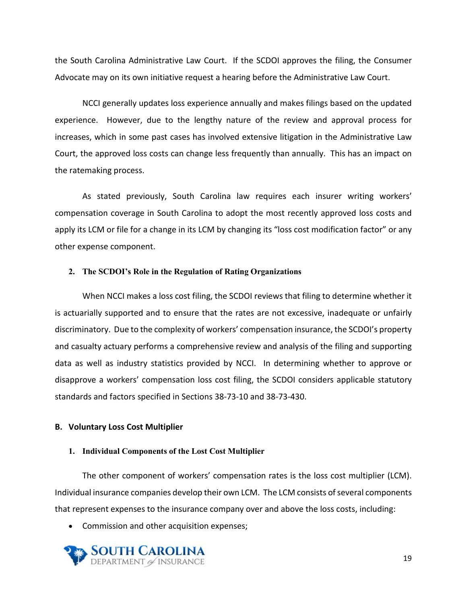the South Carolina Administrative Law Court. If the SCDOI approves the filing, the Consumer Advocate may on its own initiative request a hearing before the Administrative Law Court.

NCCI generally updates loss experience annually and makes filings based on the updated experience. However, due to the lengthy nature of the review and approval process for increases, which in some past cases has involved extensive litigation in the Administrative Law Court, the approved loss costs can change less frequently than annually. This has an impact on the ratemaking process.

As stated previously, South Carolina law requires each insurer writing workers' compensation coverage in South Carolina to adopt the most recently approved loss costs and apply its LCM or file for a change in its LCM by changing its "loss cost modification factor" or any other expense component.

#### **2. The SCDOI's Role in the Regulation of Rating Organizations**

When NCCI makes a loss cost filing, the SCDOI reviews that filing to determine whether it is actuarially supported and to ensure that the rates are not excessive, inadequate or unfairly discriminatory. Due to the complexity of workers' compensation insurance, the SCDOI's property and casualty actuary performs a comprehensive review and analysis of the filing and supporting data as well as industry statistics provided by NCCI. In determining whether to approve or disapprove a workers' compensation loss cost filing, the SCDOI considers applicable statutory standards and factors specified in Sections 38-73-10 and 38-73-430.

#### **B. Voluntary Loss Cost Multiplier**

#### **1. Individual Components of the Lost Cost Multiplier**

The other component of workers' compensation rates is the loss cost multiplier (LCM). Individual insurance companies develop their own LCM. The LCM consists of several components that represent expenses to the insurance company over and above the loss costs, including:

• Commission and other acquisition expenses;

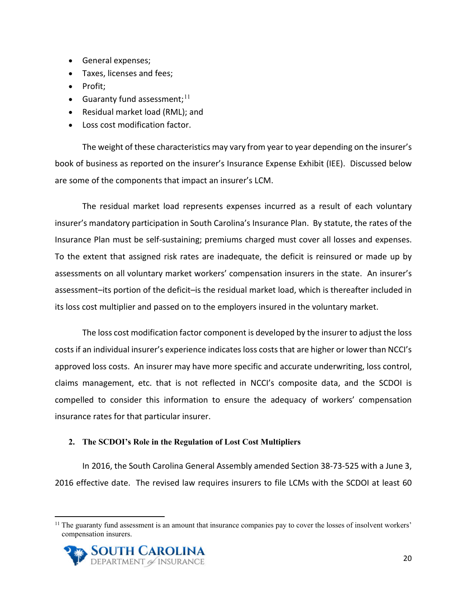- General expenses;
- Taxes, licenses and fees;
- Profit:
- Guaranty fund assessment; $^{11}$  $^{11}$  $^{11}$
- Residual market load (RML); and
- Loss cost modification factor.

The weight of these characteristics may vary from year to year depending on the insurer's book of business as reported on the insurer's Insurance Expense Exhibit (IEE). Discussed below are some of the components that impact an insurer's LCM.

The residual market load represents expenses incurred as a result of each voluntary insurer's mandatory participation in South Carolina's Insurance Plan. By statute, the rates of the Insurance Plan must be self-sustaining; premiums charged must cover all losses and expenses. To the extent that assigned risk rates are inadequate, the deficit is reinsured or made up by assessments on all voluntary market workers' compensation insurers in the state. An insurer's assessment–its portion of the deficit–is the residual market load, which is thereafter included in its loss cost multiplier and passed on to the employers insured in the voluntary market.

The loss cost modification factor component is developed by the insurer to adjust the loss costs if an individual insurer's experience indicates loss costs that are higher or lower than NCCI's approved loss costs. An insurer may have more specific and accurate underwriting, loss control, claims management, etc. that is not reflected in NCCI's composite data, and the SCDOI is compelled to consider this information to ensure the adequacy of workers' compensation insurance rates for that particular insurer.

#### **2. The SCDOI's Role in the Regulation of Lost Cost Multipliers**

In 2016, the South Carolina General Assembly amended Section 38-73-525 with a June 3, 2016 effective date. The revised law requires insurers to file LCMs with the SCDOI at least 60

<span id="page-19-0"></span> $<sup>11</sup>$  The guaranty fund assessment is an amount that insurance companies pay to cover the losses of insolvent workers'</sup> compensation insurers.

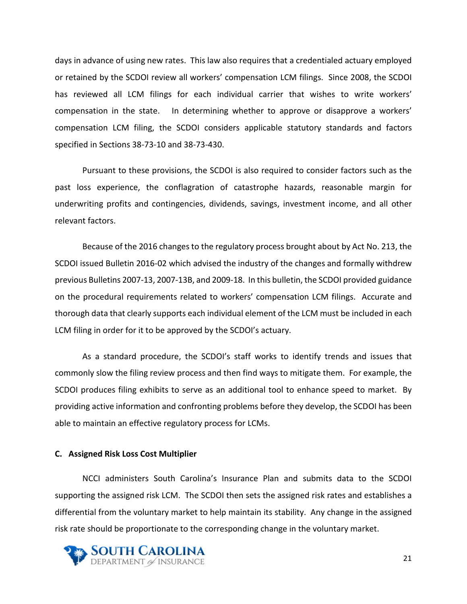days in advance of using new rates. This law also requires that a credentialed actuary employed or retained by the SCDOI review all workers' compensation LCM filings. Since 2008, the SCDOI has reviewed all LCM filings for each individual carrier that wishes to write workers' compensation in the state. In determining whether to approve or disapprove a workers' compensation LCM filing, the SCDOI considers applicable statutory standards and factors specified in Sections 38-73-10 and 38-73-430.

Pursuant to these provisions, the SCDOI is also required to consider factors such as the past loss experience, the conflagration of catastrophe hazards, reasonable margin for underwriting profits and contingencies, dividends, savings, investment income, and all other relevant factors.

Because of the 2016 changes to the regulatory process brought about by Act No. 213, the SCDOI issued Bulletin 2016-02 which advised the industry of the changes and formally withdrew previous Bulletins 2007-13, 2007-13B, and 2009-18. In this bulletin, the SCDOI provided guidance on the procedural requirements related to workers' compensation LCM filings. Accurate and thorough data that clearly supports each individual element of the LCM must be included in each LCM filing in order for it to be approved by the SCDOI's actuary.

As a standard procedure, the SCDOI's staff works to identify trends and issues that commonly slow the filing review process and then find ways to mitigate them. For example, the SCDOI produces filing exhibits to serve as an additional tool to enhance speed to market. By providing active information and confronting problems before they develop, the SCDOI has been able to maintain an effective regulatory process for LCMs.

#### **C. Assigned Risk Loss Cost Multiplier**

NCCI administers South Carolina's Insurance Plan and submits data to the SCDOI supporting the assigned risk LCM. The SCDOI then sets the assigned risk rates and establishes a differential from the voluntary market to help maintain its stability. Any change in the assigned risk rate should be proportionate to the corresponding change in the voluntary market.

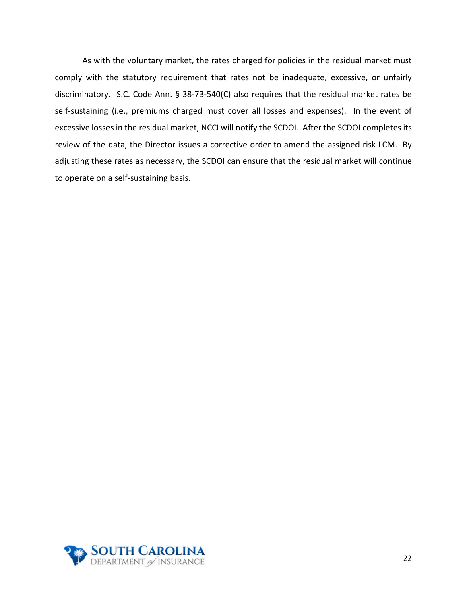As with the voluntary market, the rates charged for policies in the residual market must comply with the statutory requirement that rates not be inadequate, excessive, or unfairly discriminatory. S.C. Code Ann. § 38-73-540(C) also requires that the residual market rates be self-sustaining (i.e., premiums charged must cover all losses and expenses). In the event of excessive losses in the residual market, NCCI will notify the SCDOI. After the SCDOI completes its review of the data, the Director issues a corrective order to amend the assigned risk LCM. By adjusting these rates as necessary, the SCDOI can ensure that the residual market will continue to operate on a self-sustaining basis.

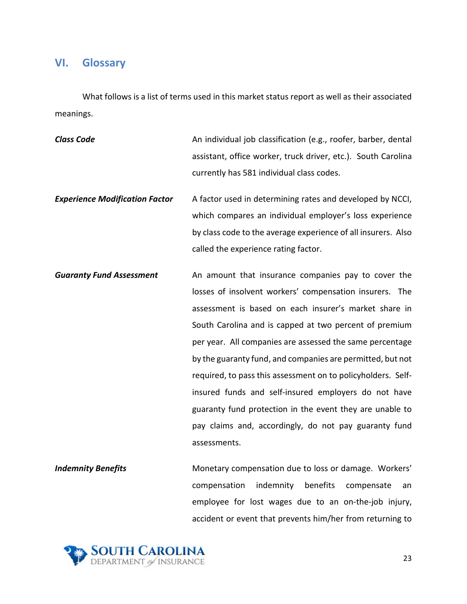## <span id="page-22-0"></span>**VI. Glossary**

What follows is a list of terms used in this market status report as well as their associated meanings.

**Class Code An individual job classification (e.g., roofer, barber, dental discussed** and an individual job classification (e.g., roofer, barber, dental assistant, office worker, truck driver, etc.). South Carolina currently has 581 individual class codes.

**Experience Modification Factor** A factor used in determining rates and developed by NCCI, which compares an individual employer's loss experience by class code to the average experience of all insurers. Also called the experience rating factor.

*Guaranty Fund Assessment* An amount that insurance companies pay to cover the losses of insolvent workers' compensation insurers. The assessment is based on each insurer's market share in South Carolina and is capped at two percent of premium per year. All companies are assessed the same percentage by the guaranty fund, and companies are permitted, but not required, to pass this assessment on to policyholders. Selfinsured funds and self-insured employers do not have guaranty fund protection in the event they are unable to pay claims and, accordingly, do not pay guaranty fund assessments.

**Indemnity Benefits** Monetary compensation due to loss or damage. Workers' compensation indemnity benefits compensate an employee for lost wages due to an on-the-job injury, accident or event that prevents him/her from returning to

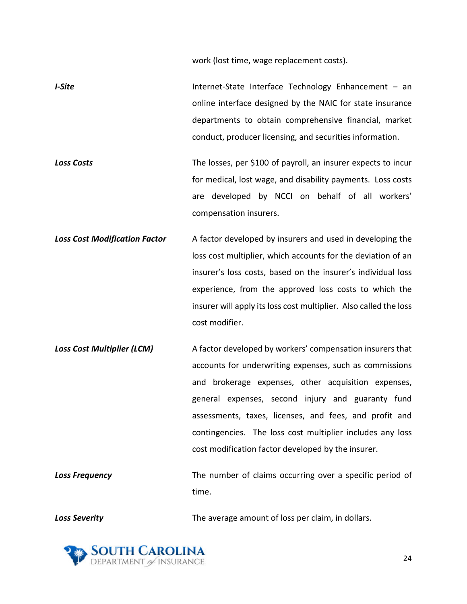work (lost time, wage replacement costs).

- *I-Site* **Internet-State Interface Technology Enhancement an** online interface designed by the NAIC for state insurance departments to obtain comprehensive financial, market conduct, producer licensing, and securities information.
- **Loss Costs** Costs The losses, per \$100 of payroll, an insurer expects to incur for medical, lost wage, and disability payments. Loss costs are developed by NCCI on behalf of all workers' compensation insurers.
- **Loss Cost Modification Factor** A factor developed by insurers and used in developing the loss cost multiplier, which accounts for the deviation of an insurer's loss costs, based on the insurer's individual loss experience, from the approved loss costs to which the insurer will apply its loss cost multiplier. Also called the loss cost modifier.
- **Loss Cost Multiplier (LCM)** A factor developed by workers' compensation insurers that accounts for underwriting expenses, such as commissions and brokerage expenses, other acquisition expenses, general expenses, second injury and guaranty fund assessments, taxes, licenses, and fees, and profit and contingencies. The loss cost multiplier includes any loss cost modification factor developed by the insurer.
- **Loss Frequency** The number of claims occurring over a specific period of time.

**Loss Severity The average amount of loss per claim, in dollars.** And **Constanting the average amount of loss per claim, in dollars.** 

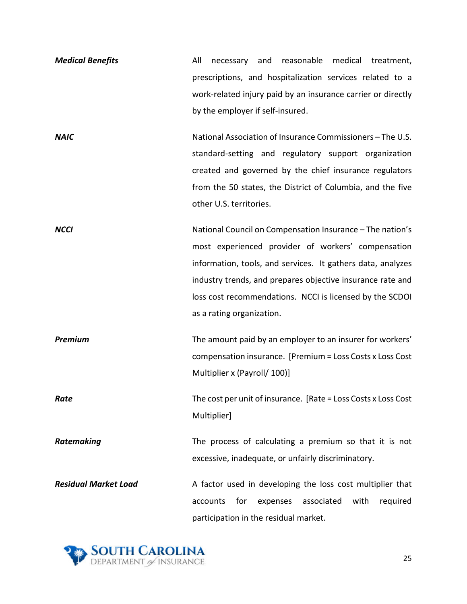| <b>Medical Benefits</b>     | All<br>and reasonable medical treatment,<br>necessary          |
|-----------------------------|----------------------------------------------------------------|
|                             | prescriptions, and hospitalization services related to a       |
|                             | work-related injury paid by an insurance carrier or directly   |
|                             | by the employer if self-insured.                               |
| <b>NAIC</b>                 | National Association of Insurance Commissioners - The U.S.     |
|                             | standard-setting and regulatory support organization           |
|                             | created and governed by the chief insurance regulators         |
|                             | from the 50 states, the District of Columbia, and the five     |
|                             | other U.S. territories.                                        |
| <b>NCCI</b>                 | National Council on Compensation Insurance - The nation's      |
|                             | most experienced provider of workers' compensation             |
|                             | information, tools, and services. It gathers data, analyzes    |
|                             | industry trends, and prepares objective insurance rate and     |
|                             | loss cost recommendations. NCCI is licensed by the SCDOI       |
|                             | as a rating organization.                                      |
| <b>Premium</b>              | The amount paid by an employer to an insurer for workers'      |
|                             | compensation insurance. [Premium = Loss Costs x Loss Cost      |
|                             | Multiplier x (Payroll/ 100)]                                   |
| Rate                        | The cost per unit of insurance. [Rate = Loss Costs x Loss Cost |
|                             | Multiplier]                                                    |
| Ratemaking                  | The process of calculating a premium so that it is not         |
|                             | excessive, inadequate, or unfairly discriminatory.             |
| <b>Residual Market Load</b> | A factor used in developing the loss cost multiplier that      |
|                             | expenses<br>associated<br>with<br>required<br>accounts<br>for  |
|                             | participation in the residual market.                          |
|                             |                                                                |